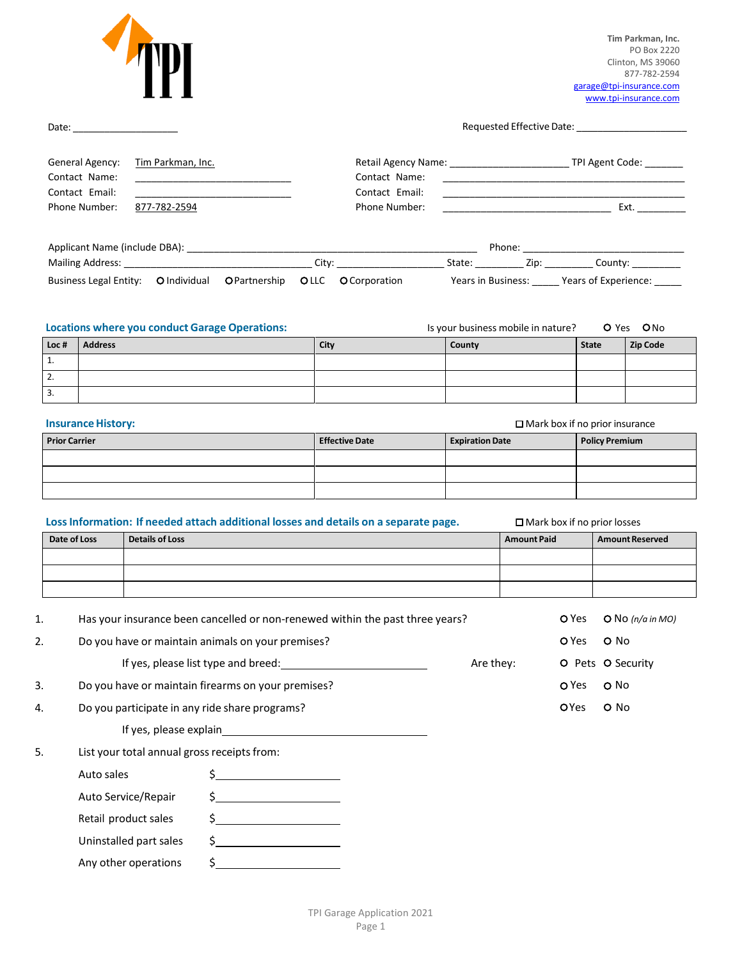

**Tim Parkman, Inc.** PO Box 2220 Clinton, MS 39060 877-782-2594 [garage@tpi-insurance.com](mailto:garage@tpi-insurance.com) www.tpi-insurance.com

Date: \_\_\_\_\_\_\_\_\_\_\_\_\_\_\_\_\_\_\_\_ Requested Effective Date: \_\_\_\_\_\_\_\_\_\_\_\_\_\_\_\_\_\_\_\_\_

| General Agency:<br>Contact Name:<br>Contact Email: | Tim Parkman, Inc. | Contact Name:<br>Contact Email: | Retail Agency Name: |        | TPI Agent Code: |
|----------------------------------------------------|-------------------|---------------------------------|---------------------|--------|-----------------|
| Phone Number:                                      | 877-782-2594      | Phone Number:                   |                     |        | Ext.            |
| Applicant Name (include DBA):                      |                   |                                 |                     | Phone: |                 |
| <b>Mailing Address:</b>                            |                   | City:                           | State:              | Zip:   | County:         |

Business Legal Entity: O Individual O Partnership OLLC O Corporation Years in Business: \_\_\_\_\_ Years of Experience: \_\_\_\_\_

**Locations where you conduct Garage Operations:** Is your business mobile in nature? O Yes ONo

| Loc#     | Address | City | County | State | Zip Code |
|----------|---------|------|--------|-------|----------|
| <b>.</b> |         |      |        |       |          |
| 2.       |         |      |        |       |          |
| з.       |         |      |        |       |          |

| <b>Insurance History:</b> |                       | $\Box$ Mark box if no prior insurance |                       |  |  |  |
|---------------------------|-----------------------|---------------------------------------|-----------------------|--|--|--|
| <b>Prior Carrier</b>      | <b>Effective Date</b> | <b>Expiration Date</b>                | <b>Policy Premium</b> |  |  |  |
|                           |                       |                                       |                       |  |  |  |
|                           |                       |                                       |                       |  |  |  |
|                           |                       |                                       |                       |  |  |  |

| Loss Information: If needed attach additional losses and details on a separate page. |                        |                        | $\Box$ Mark box if no prior losses                                                                                                                                                                                                                                                                                  |                    |              |                        |
|--------------------------------------------------------------------------------------|------------------------|------------------------|---------------------------------------------------------------------------------------------------------------------------------------------------------------------------------------------------------------------------------------------------------------------------------------------------------------------|--------------------|--------------|------------------------|
|                                                                                      | Date of Loss           | <b>Details of Loss</b> |                                                                                                                                                                                                                                                                                                                     | <b>Amount Paid</b> |              | <b>Amount Reserved</b> |
|                                                                                      |                        |                        |                                                                                                                                                                                                                                                                                                                     |                    |              |                        |
|                                                                                      |                        |                        |                                                                                                                                                                                                                                                                                                                     |                    |              |                        |
| 1.                                                                                   |                        |                        | Has your insurance been cancelled or non-renewed within the past three years?                                                                                                                                                                                                                                       |                    | O Yes        | $O$ No (n/a in MO)     |
| 2.                                                                                   |                        |                        | Do you have or maintain animals on your premises?                                                                                                                                                                                                                                                                   |                    | O Yes        | $O$ No                 |
|                                                                                      |                        |                        |                                                                                                                                                                                                                                                                                                                     | Are they:          |              | O Pets O Security      |
| 3.                                                                                   |                        |                        | Do you have or maintain firearms on your premises?                                                                                                                                                                                                                                                                  |                    | O Yes        | O No                   |
| 4.                                                                                   |                        |                        | Do you participate in any ride share programs?                                                                                                                                                                                                                                                                      |                    | <b>O</b> Yes | O No                   |
|                                                                                      |                        |                        | If yes, please explain and the state of the state of the state of the state of the state of the state of the state of the state of the state of the state of the state of the state of the state of the state of the state of                                                                                       |                    |              |                        |
| 5.                                                                                   |                        |                        | List your total annual gross receipts from:                                                                                                                                                                                                                                                                         |                    |              |                        |
|                                                                                      | Auto sales             |                        | $\frac{1}{2}$                                                                                                                                                                                                                                                                                                       |                    |              |                        |
|                                                                                      | Auto Service/Repair    |                        | $\frac{1}{2}$ $\frac{1}{2}$ $\frac{1}{2}$ $\frac{1}{2}$ $\frac{1}{2}$ $\frac{1}{2}$ $\frac{1}{2}$ $\frac{1}{2}$ $\frac{1}{2}$ $\frac{1}{2}$ $\frac{1}{2}$ $\frac{1}{2}$ $\frac{1}{2}$ $\frac{1}{2}$ $\frac{1}{2}$ $\frac{1}{2}$ $\frac{1}{2}$ $\frac{1}{2}$ $\frac{1}{2}$ $\frac{1}{2}$ $\frac{1}{2}$ $\frac{1}{2}$ |                    |              |                        |
|                                                                                      | Retail product sales   |                        | <u> 1989 - Johann Barbara, martxa a</u><br>Ś.                                                                                                                                                                                                                                                                       |                    |              |                        |
|                                                                                      | Uninstalled part sales |                        | $\mathsf{S}\,$                                                                                                                                                                                                                                                                                                      |                    |              |                        |

TPI Garage Application 2021

Any other operations \$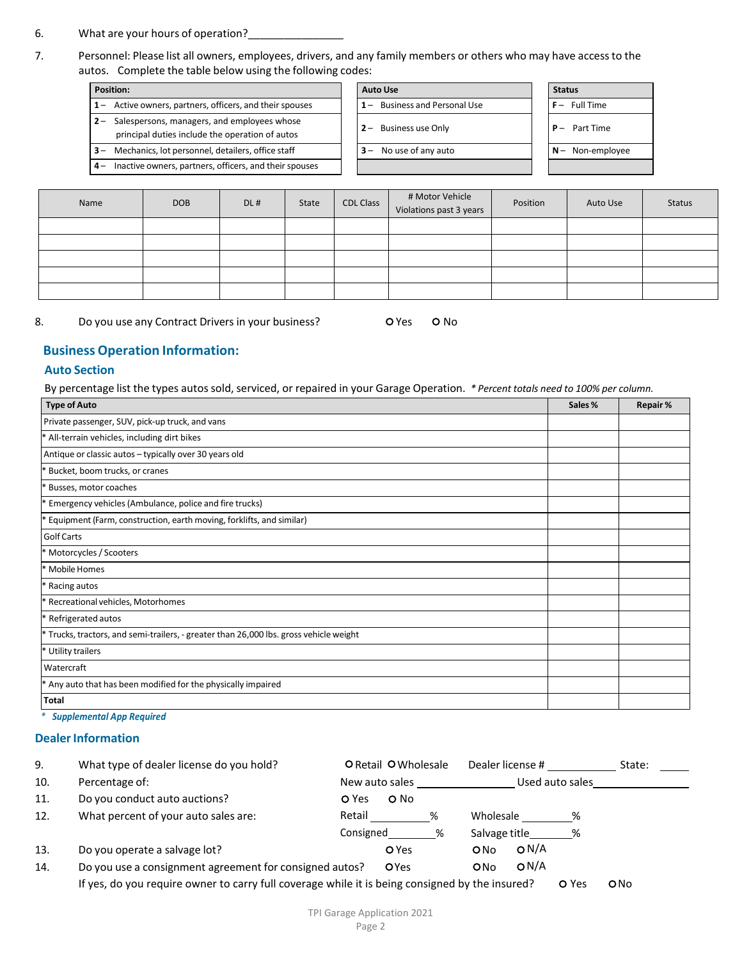- 6. What are your hours of operation?
- 7. Personnel: Please list all owners, employees, drivers, and any family members or others who may have accessto the autos. Complete the table below using the following codes:

- **1** Active owners, partners, officers, and their spouses **1** Business and Personal Use **F 2** – Salespersons, managers, and employees whose
- principal duties include the operation of autos
- 
- **4** Inactive owners, partners, officers, and their spouses

| Position:                                                                                          | <b>Auto Use</b>              | <b>Status</b>   |
|----------------------------------------------------------------------------------------------------|------------------------------|-----------------|
| 1 - Active owners, partners, officers, and their spouses                                           | 1- Business and Personal Use | $F -$ Full Time |
| 2 - Salespersons, managers, and employees whose<br>principal duties include the operation of autos | $2 -$ Business use Only      | $P -$ Part Time |
| <b>3</b> – Mechanics, lot personnel, detailers, office staff                                       | $3 -$ No use of any auto     | $N-$ Non-empl   |
| 4 - Inactive owners, partners, officers, and their spouses                                         |                              |                 |

| Status |                  |
|--------|------------------|
| $\sim$ | <b>Full Time</b> |
| $\sim$ | Part Time        |
|        | V- Non-employee  |
|        |                  |

| Name | <b>DOB</b> | DL# | State | <b>CDL Class</b> | # Motor Vehicle<br>Violations past 3 years | Position | Auto Use | <b>Status</b> |
|------|------------|-----|-------|------------------|--------------------------------------------|----------|----------|---------------|
|      |            |     |       |                  |                                            |          |          |               |
|      |            |     |       |                  |                                            |          |          |               |
|      |            |     |       |                  |                                            |          |          |               |
|      |            |     |       |                  |                                            |          |          |               |
|      |            |     |       |                  |                                            |          |          |               |

8. Do you use any Contract Drivers in your business? C Yes O No

## **Business Operation Information:**

#### **Auto Section**

By percentage list the types autos sold, serviced, or repaired in your Garage Operation. *\* Percent totals need to 100% per column.*

| <b>Type of Auto</b>                                                                    | Sales % | <b>Repair%</b> |
|----------------------------------------------------------------------------------------|---------|----------------|
| Private passenger, SUV, pick-up truck, and vans                                        |         |                |
| * All-terrain vehicles, including dirt bikes                                           |         |                |
| Antique or classic autos - typically over 30 years old                                 |         |                |
| * Bucket, boom trucks, or cranes                                                       |         |                |
| Busses, motor coaches                                                                  |         |                |
| Emergency vehicles (Ambulance, police and fire trucks)                                 |         |                |
| * Equipment (Farm, construction, earth moving, forklifts, and similar)                 |         |                |
| Golf Carts                                                                             |         |                |
| * Motorcycles / Scooters                                                               |         |                |
| * Mobile Homes                                                                         |         |                |
| * Racing autos                                                                         |         |                |
| * Recreational vehicles, Motorhomes                                                    |         |                |
| * Refrigerated autos                                                                   |         |                |
| * Trucks, tractors, and semi-trailers, - greater than 26,000 lbs. gross vehicle weight |         |                |
| * Utility trailers                                                                     |         |                |
| Watercraft                                                                             |         |                |
| * Any auto that has been modified for the physically impaired                          |         |                |
| <b>Total</b>                                                                           |         |                |

*\* Supplemental App Required*

## **Dealer Information**

| 9.  | What type of dealer license do you hold?                                                        |                | O Retail O Wholesale |             |               | Dealer license # |       | State: |
|-----|-------------------------------------------------------------------------------------------------|----------------|----------------------|-------------|---------------|------------------|-------|--------|
| 10. | Percentage of:                                                                                  | New auto sales |                      |             |               | Used auto sales  |       |        |
| 11. | Do you conduct auto auctions?                                                                   | O Yes          | O No                 |             |               |                  |       |        |
| 12. | What percent of your auto sales are:                                                            | Retail         |                      | %           | Wholesale     |                  | ℅     |        |
|     |                                                                                                 | Consigned      |                      | %           | Salvage title |                  | %     |        |
| 13. | Do you operate a salvage lot?                                                                   |                | O Yes                |             | ONO           | O N/A            |       |        |
| 14. | Do you use a consignment agreement for consigned autos?                                         |                |                      | <b>OYes</b> |               | O N/A            |       |        |
|     | If yes, do you require owner to carry full coverage while it is being consigned by the insured? |                |                      |             |               |                  | O Yes | ONO    |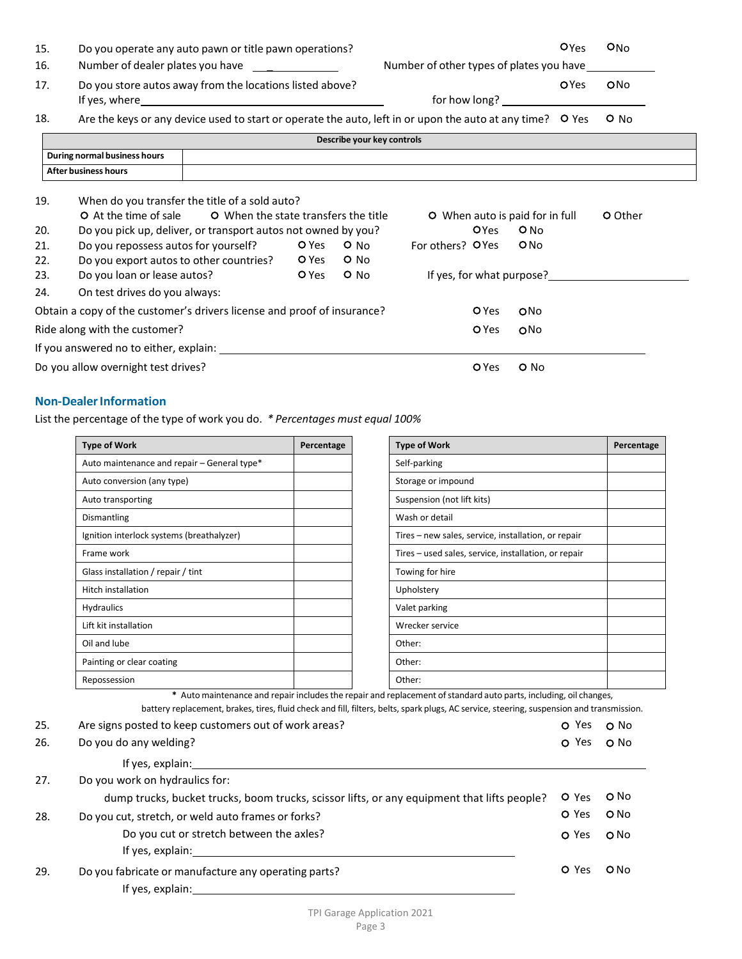| 15.                      | Do you operate any auto pawn or title pawn operations?                                                                                                                                                                                                                                                    |  |       |                            |                                          |                                                  |                           | Oyes        | O <sub>No</sub> |
|--------------------------|-----------------------------------------------------------------------------------------------------------------------------------------------------------------------------------------------------------------------------------------------------------------------------------------------------------|--|-------|----------------------------|------------------------------------------|--------------------------------------------------|---------------------------|-------------|-----------------|
| 16.                      | Number of dealer plates you have                                                                                                                                                                                                                                                                          |  |       |                            | Number of other types of plates you have |                                                  |                           |             |                 |
| 17.                      | Do you store autos away from the locations listed above?                                                                                                                                                                                                                                                  |  |       |                            |                                          |                                                  |                           | <b>OYes</b> | ONo             |
| 18.                      | Are the keys or any device used to start or operate the auto, left in or upon the auto at any time? O Yes                                                                                                                                                                                                 |  |       |                            |                                          |                                                  |                           |             | $O$ No          |
|                          |                                                                                                                                                                                                                                                                                                           |  |       | Describe your key controls |                                          |                                                  |                           |             |                 |
|                          | During normal business hours                                                                                                                                                                                                                                                                              |  |       |                            |                                          |                                                  |                           |             |                 |
|                          | <b>After business hours</b>                                                                                                                                                                                                                                                                               |  |       |                            |                                          |                                                  |                           |             |                 |
| 19.<br>20.<br>21.<br>22. | When do you transfer the title of a sold auto?<br>O When the state transfers the title<br>O At the time of sale<br>Do you pick up, deliver, or transport autos not owned by you?<br>Do you repossess autos for yourself?<br>$O$ No<br>O Yes<br>$O$ No<br>Do you export autos to other countries?<br>O Yes |  |       | For others? OYes           | <b>OYes</b>                              | O When auto is paid for in full<br>$O$ No<br>ONO |                           | O Other     |                 |
| 23.                      | Do you loan or lease autos?                                                                                                                                                                                                                                                                               |  | O Yes | $O$ No                     |                                          |                                                  | If yes, for what purpose? |             |                 |
| 24.                      | On test drives do you always:                                                                                                                                                                                                                                                                             |  |       |                            |                                          |                                                  |                           |             |                 |
|                          | Obtain a copy of the customer's drivers license and proof of insurance?                                                                                                                                                                                                                                   |  |       |                            |                                          | O Yes                                            | ONo                       |             |                 |
|                          | Ride along with the customer?                                                                                                                                                                                                                                                                             |  |       |                            |                                          | O Yes                                            | ONO                       |             |                 |
|                          |                                                                                                                                                                                                                                                                                                           |  |       |                            |                                          |                                                  |                           |             |                 |
|                          | Do you allow overnight test drives?                                                                                                                                                                                                                                                                       |  |       |                            |                                          | O Yes                                            | O No                      |             |                 |

## **Non-Dealer Information**

List the percentage of the type of work you do. *\* Percentages must equal 100%*

| <b>Type of Work</b>                         | Percentage | <b>Type of Work</b>                                  | Percentage |
|---------------------------------------------|------------|------------------------------------------------------|------------|
| Auto maintenance and repair - General type* |            | Self-parking                                         |            |
| Auto conversion (any type)                  |            | Storage or impound                                   |            |
| Auto transporting                           |            | Suspension (not lift kits)                           |            |
| Dismantling                                 |            | Wash or detail                                       |            |
| Ignition interlock systems (breathalyzer)   |            | Tires - new sales, service, installation, or repair  |            |
| Frame work                                  |            | Tires - used sales, service, installation, or repair |            |
| Glass installation / repair / tint          |            | Towing for hire                                      |            |
| Hitch installation                          |            | Upholstery                                           |            |
| <b>Hydraulics</b>                           |            | Valet parking                                        |            |
| Lift kit installation                       |            | Wrecker service                                      |            |
| Oil and lube                                |            | Other:                                               |            |
| Painting or clear coating                   |            | Other:                                               |            |
| Repossession                                |            | Other:                                               |            |

\* Auto maintenance and repair includes the repair and replacement of standard auto parts, including, oil changes, battery replacement, brakes, tires, fluid check and fill, filters, belts, spark plugs, AC service, steering, suspension and transmission.

| 25. | Are signs posted to keep customers out of work areas?                                       | O Yes | O No   |
|-----|---------------------------------------------------------------------------------------------|-------|--------|
| 26. | Do you do any welding?                                                                      | O Yes | O No   |
|     | If yes, explain:                                                                            |       |        |
| 27. | Do you work on hydraulics for:                                                              |       |        |
|     | dump trucks, bucket trucks, boom trucks, scissor lifts, or any equipment that lifts people? | O Yes | O No   |
| 28. | Do you cut, stretch, or weld auto frames or forks?                                          | O Yes | $O$ No |
|     | Do you cut or stretch between the axles?                                                    | O Yes | O No   |
|     | If yes, explain:                                                                            |       |        |
| 29. | Do you fabricate or manufacture any operating parts?                                        | O Yes | $O$ No |
|     | If yes, explain:                                                                            |       |        |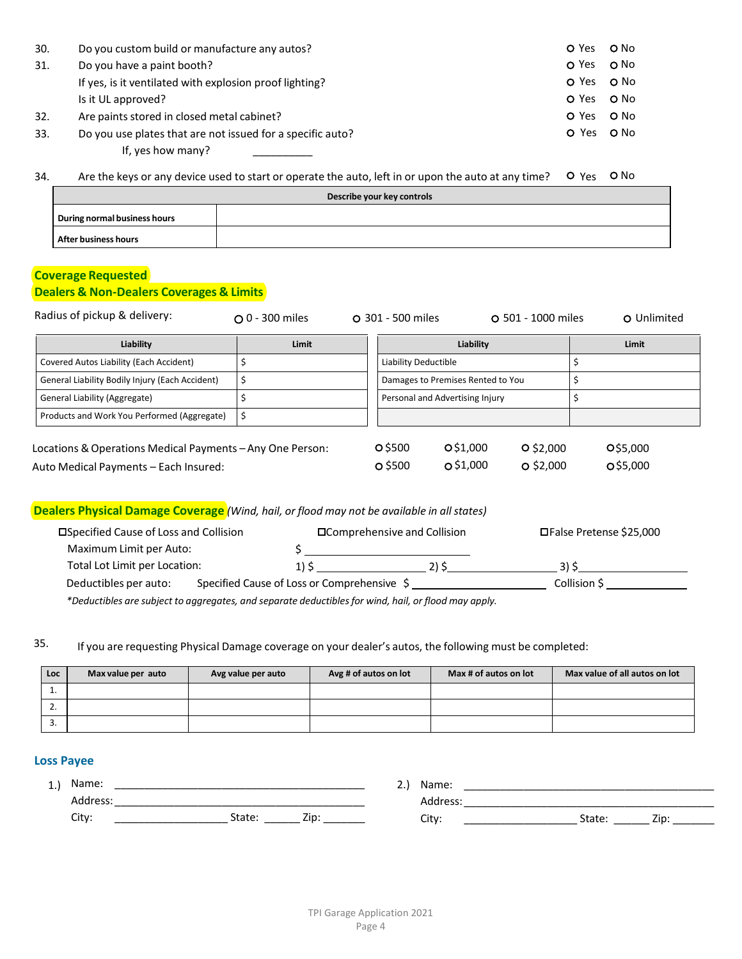| 30. | Do you custom build or manufacture any autos?              | O Yes | O No |
|-----|------------------------------------------------------------|-------|------|
| 31. | Do you have a paint booth?                                 | O Yes | O No |
|     | If yes, is it ventilated with explosion proof lighting?    | O Yes | O No |
|     | Is it UL approved?                                         | O Yes | O No |
| 32. | Are paints stored in closed metal cabinet?                 | O Yes | O No |
| 33. | Do you use plates that are not issued for a specific auto? | O Yes | O No |

If, yes how many?

34. Are the keys or any device used to start or operate the auto, left in or upon the auto at any time? O Yes O No

| Describe your key controls   |  |  |  |  |
|------------------------------|--|--|--|--|
| During normal business hours |  |  |  |  |
| After business hours         |  |  |  |  |

# **Coverage Requested**

## **Dealers & Non-Dealers Coverages & Limits**

| Radius of pickup & delivery:                                                                       | $\Omega$ 0 - 300 miles | O 301 - 500 miles        |                                   | O 501 - 1000 miles         | O Unlimited          |
|----------------------------------------------------------------------------------------------------|------------------------|--------------------------|-----------------------------------|----------------------------|----------------------|
| Liability                                                                                          | Limit                  |                          | Liability                         |                            | Limit                |
| Covered Autos Liability (Each Accident)                                                            |                        | Liability Deductible     |                                   |                            |                      |
| General Liability Bodily Injury (Each Accident)                                                    | \$                     |                          | Damages to Premises Rented to You |                            |                      |
| General Liability (Aggregate)                                                                      |                        |                          | Personal and Advertising Injury   |                            |                      |
| Products and Work You Performed (Aggregate)                                                        | \$                     |                          |                                   |                            |                      |
| Locations & Operations Medical Payments - Any One Person:<br>Auto Medical Payments - Each Insured: |                        | O \$500<br>$\circ$ \$500 | O\$1,000<br>O\$1,000              | $O$ \$2,000<br>$O$ \$2,000 | O\$5,000<br>O\$5,000 |

# **Dealers Physical Damage Coverage** *(Wind, hail, or flood may not be available in allstates)*

| □Specified Cause of Loss and Collision |  |                                             | □ Comprehensive and Collision                                                                        | □ False Pretense \$25,000 |
|----------------------------------------|--|---------------------------------------------|------------------------------------------------------------------------------------------------------|---------------------------|
| Maximum Limit per Auto:                |  |                                             |                                                                                                      |                           |
| Total Lot Limit per Location:          |  | 1) S                                        | 2) S                                                                                                 | 31 C                      |
| Deductibles per auto:                  |  | Specified Cause of Loss or Comprehensive \$ |                                                                                                      | Collision S               |
|                                        |  |                                             | *Deductibles are subject to aggregates, and separate deductibles for wind, hail, or flood may apply. |                           |

35. If you are requesting Physical Damage coverage on your dealer's autos, the following must be completed:

| Loc        | Max value per auto | Avg value per auto | Avg # of autos on lot | Max # of autos on lot | Max value of all autos on lot |
|------------|--------------------|--------------------|-----------------------|-----------------------|-------------------------------|
| <b>.</b>   |                    |                    |                       |                       |                               |
| <u>.</u> . |                    |                    |                       |                       |                               |
| J.         |                    |                    |                       |                       |                               |

### **Loss Payee**

| 1.) Name: |        |      | <u>.</u> | Name:    |        |      |
|-----------|--------|------|----------|----------|--------|------|
| Address:  |        |      |          | Address: |        |      |
| City:     | State: | Zip. |          | City:    | State: | Zip: |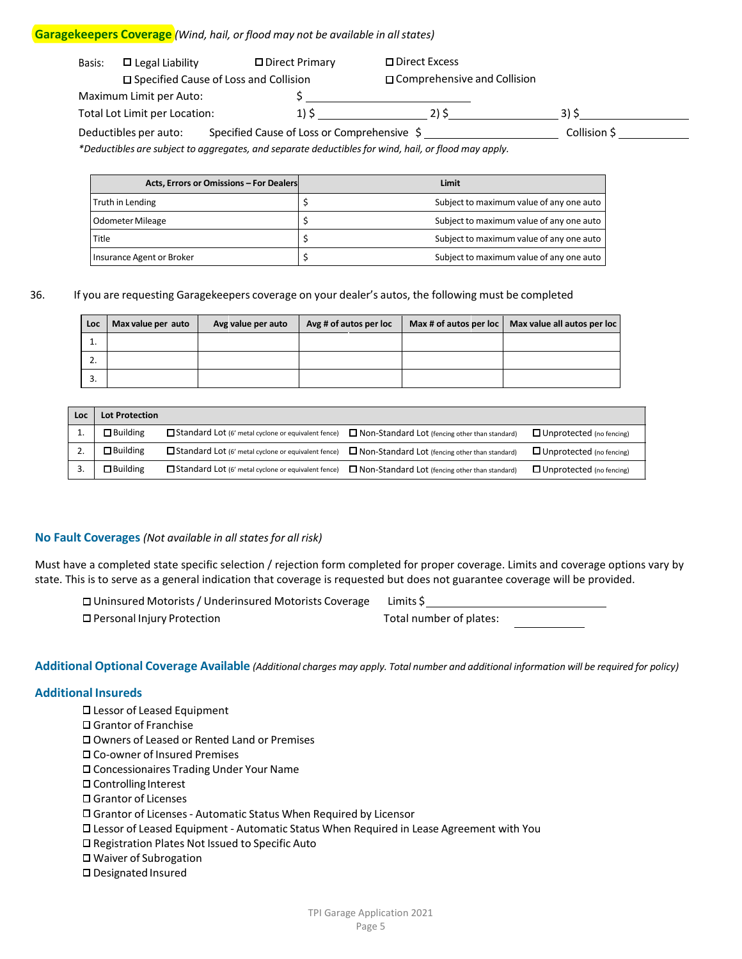#### **Garagekeepers Coverage** *(Wind, hail, or flood may not be available in allstates)*

| Basis: | $\square$ Legal Liability     | □ Direct Primary                                | □ Direct Excess               |              |
|--------|-------------------------------|-------------------------------------------------|-------------------------------|--------------|
|        |                               | $\square$ Specified Cause of Loss and Collision | □ Comprehensive and Collision |              |
|        | Maximum Limit per Auto:       |                                                 |                               |              |
|        | Total Lot Limit per Location: |                                                 | ついち                           | 31 C         |
|        | Deductibles per auto:         | Specified Cause of Loss or Comprehensive \$     |                               | Collision \$ |

*\*Deductibles are subject to aggregates, and separate deductiblesfor wind, hail, or flood may apply.*

| Acts, Errors or Omissions - For Dealers | Limit                                    |
|-----------------------------------------|------------------------------------------|
| Truth in Lending                        | Subject to maximum value of any one auto |
| Odometer Mileage                        | Subject to maximum value of any one auto |
| Title                                   | Subject to maximum value of any one auto |
| Insurance Agent or Broker               | Subject to maximum value of any one auto |

#### 36. If you are requesting Garagekeepers coverage on your dealer's autos, the following must be completed

| Loc      | Max value per auto | Avg value per auto | Avg # of autos per loc | Max # of autos per loc   Max value all autos per loc |
|----------|--------------------|--------------------|------------------------|------------------------------------------------------|
|          |                    |                    |                        |                                                      |
| <u>.</u> |                    |                    |                        |                                                      |
| ີ<br>J.  |                    |                    |                        |                                                      |

| Loc | <b>Lot Protection</b> |                                                     |                                                       |                                 |
|-----|-----------------------|-----------------------------------------------------|-------------------------------------------------------|---------------------------------|
|     | $\Box$ Building       | Standard Lot (6' metal cyclone or equivalent fence) | $\Box$ Non-Standard Lot (fencing other than standard) | $\Box$ Unprotected (no fencing) |
|     | $\Box$ Building       | Standard Lot (6' metal cyclone or equivalent fence) | $\Box$ Non-Standard Lot (fencing other than standard) | $\Box$ Unprotected (no fencing) |
|     | $\Box$ Building       | Standard Lot (6' metal cyclone or equivalent fence) | $\Box$ Non-Standard Lot (fencing other than standard) | $\Box$ Unprotected (no fencing) |

#### **No Fault Coverages** *(Not available in all statesfor all risk)*

Must have a completed state specific selection / rejection form completed for proper coverage. Limits and coverage options vary by state. This is to serve as a general indication that coverage is requested but does not guarantee coverage will be provided.

| □ Uninsured Motorists / Underinsured Motorists Coverage | Limits S                |
|---------------------------------------------------------|-------------------------|
| □ Personal Injury Protection                            | Total number of plates: |

Additional Optional Coverage Available (Additional charges may apply. Total number and additional information will be required for policy)

#### **Additional Insureds**

- Lessor of Leased Equipment
- Grantor of Franchise
- Owners of Leased or Rented Land or Premises
- Co-owner of Insured Premises
- Concessionaires Trading Under Your Name
- Controlling Interest
- Grantor of Licenses
- Grantor of Licenses- Automatic Status When Required by Licensor
- Lessor of Leased Equipment Automatic Status When Required in Lease Agreement with You
- □ Registration Plates Not Issued to Specific Auto
- Waiver of Subrogation
- Designated Insured